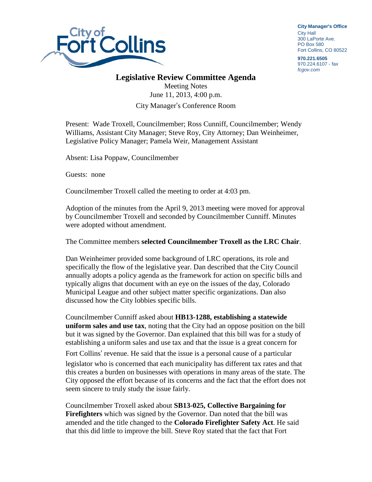

**City Manager**'**s Office** City Hall 300 LaPorte Ave. PO Box 580 Fort Collins, CO 80522

**970.221.6505** 970.224.6107 - fax *fcgov.com*

## **Legislative Review Committee Agenda**

Meeting Notes June 11, 2013, 4:00 p.m. City Manager's Conference Room

Present: Wade Troxell, Councilmember; Ross Cunniff, Councilmember; Wendy Williams, Assistant City Manager; Steve Roy, City Attorney; Dan Weinheimer, Legislative Policy Manager; Pamela Weir, Management Assistant

Absent: Lisa Poppaw, Councilmember

Guests: none

Councilmember Troxell called the meeting to order at 4:03 pm.

Adoption of the minutes from the April 9, 2013 meeting were moved for approval by Councilmember Troxell and seconded by Councilmember Cunniff. Minutes were adopted without amendment.

The Committee members **selected Councilmember Troxell as the LRC Chair**.

Dan Weinheimer provided some background of LRC operations, its role and specifically the flow of the legislative year. Dan described that the City Council annually adopts a policy agenda as the framework for action on specific bills and typically aligns that document with an eye on the issues of the day, Colorado Municipal League and other subject matter specific organizations. Dan also discussed how the City lobbies specific bills.

Councilmember Cunniff asked about **HB13-1288, establishing a statewide uniform sales and use tax**, noting that the City had an oppose position on the bill but it was signed by the Governor. Dan explained that this bill was for a study of establishing a uniform sales and use tax and that the issue is a great concern for Fort Collins' revenue. He said that the issue is a personal cause of a particular legislator who is concerned that each municipality has different tax rates and that this creates a burden on businesses with operations in many areas of the state. The City opposed the effort because of its concerns and the fact that the effort does not seem sincere to truly study the issue fairly.

Councilmember Troxell asked about **SB13-025, Collective Bargaining for Firefighters** which was signed by the Governor. Dan noted that the bill was amended and the title changed to the **Colorado Firefighter Safety Act**. He said that this did little to improve the bill. Steve Roy stated that the fact that Fort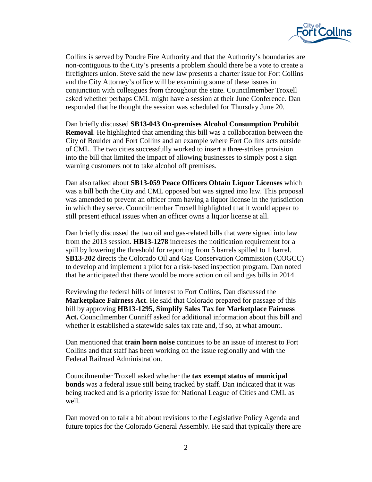

Collins is served by Poudre Fire Authority and that the Authority's boundaries are non-contiguous to the City's presents a problem should there be a vote to create a firefighters union. Steve said the new law presents a charter issue for Fort Collins and the City Attorney's office will be examining some of these issues in conjunction with colleagues from throughout the state. Councilmember Troxell asked whether perhaps CML might have a session at their June Conference. Dan responded that he thought the session was scheduled for Thursday June 20.

Dan briefly discussed **SB13-043 On-premises Alcohol Consumption Prohibit Removal**. He highlighted that amending this bill was a collaboration between the City of Boulder and Fort Collins and an example where Fort Collins acts outside of CML. The two cities successfully worked to insert a three-strikes provision into the bill that limited the impact of allowing businesses to simply post a sign warning customers not to take alcohol off premises.

Dan also talked about **SB13-059 Peace Officers Obtain Liquor Licenses** which was a bill both the City and CML opposed but was signed into law. This proposal was amended to prevent an officer from having a liquor license in the jurisdiction in which they serve. Councilmember Troxell highlighted that it would appear to still present ethical issues when an officer owns a liquor license at all.

Dan briefly discussed the two oil and gas-related bills that were signed into law from the 2013 session. **HB13-1278** increases the notification requirement for a spill by lowering the threshold for reporting from 5 barrels spilled to 1 barrel. **SB13-202** directs the Colorado Oil and Gas Conservation Commission (COGCC) to develop and implement a pilot for a risk-based inspection program. Dan noted that he anticipated that there would be more action on oil and gas bills in 2014.

Reviewing the federal bills of interest to Fort Collins, Dan discussed the **Marketplace Fairness Act**. He said that Colorado prepared for passage of this bill by approving **HB13-1295, Simplify Sales Tax for Marketplace Fairness Act.** Councilmember Cunniff asked for additional information about this bill and whether it established a statewide sales tax rate and, if so, at what amount.

Dan mentioned that **train horn noise** continues to be an issue of interest to Fort Collins and that staff has been working on the issue regionally and with the Federal Railroad Administration.

Councilmember Troxell asked whether the **tax exempt status of municipal bonds** was a federal issue still being tracked by staff. Dan indicated that it was being tracked and is a priority issue for National League of Cities and CML as well.

Dan moved on to talk a bit about revisions to the Legislative Policy Agenda and future topics for the Colorado General Assembly. He said that typically there are